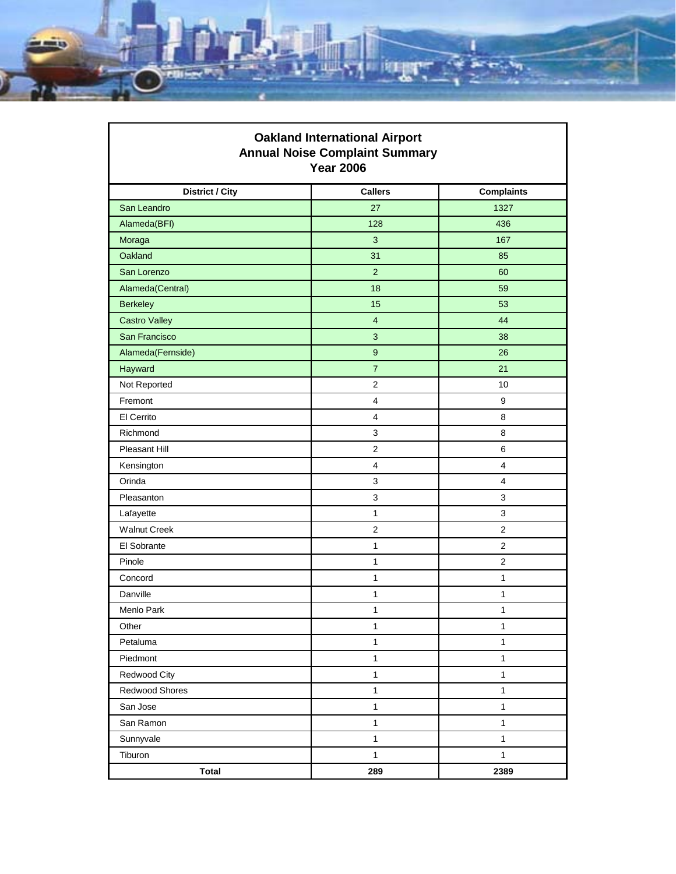

| <b>Oakland International Airport</b><br><b>Annual Noise Complaint Summary</b><br><b>Year 2006</b> |                  |                         |
|---------------------------------------------------------------------------------------------------|------------------|-------------------------|
| <b>District / City</b>                                                                            | <b>Callers</b>   | <b>Complaints</b>       |
| San Leandro                                                                                       | 27               | 1327                    |
| Alameda(BFI)                                                                                      | 128              | 436                     |
| Moraga                                                                                            | 3                | 167                     |
| Oakland                                                                                           | 31               | 85                      |
| San Lorenzo                                                                                       | $\overline{2}$   | 60                      |
| Alameda(Central)                                                                                  | 18               | 59                      |
| <b>Berkeley</b>                                                                                   | 15               | 53                      |
| <b>Castro Valley</b>                                                                              | $\overline{4}$   | 44                      |
| San Francisco                                                                                     | 3                | 38                      |
| Alameda(Fernside)                                                                                 | $\boldsymbol{9}$ | 26                      |
| Hayward                                                                                           | $\overline{7}$   | 21                      |
| Not Reported                                                                                      | $\overline{2}$   | 10                      |
| Fremont                                                                                           | $\overline{4}$   | 9                       |
| El Cerrito                                                                                        | 4                | 8                       |
| Richmond                                                                                          | 3                | 8                       |
| Pleasant Hill                                                                                     | $\overline{2}$   | 6                       |
| Kensington                                                                                        | $\overline{4}$   | $\overline{\mathbf{4}}$ |
| Orinda                                                                                            | 3                | 4                       |
| Pleasanton                                                                                        | 3                | 3                       |
| Lafayette                                                                                         | $\mathbf{1}$     | 3                       |
| <b>Walnut Creek</b>                                                                               | $\mathbf{2}$     | $\overline{2}$          |
| El Sobrante                                                                                       | 1                | $\overline{2}$          |
| Pinole                                                                                            | $\mathbf{1}$     | $\overline{2}$          |
| Concord                                                                                           | $\mathbf{1}$     | 1                       |
| Danville                                                                                          | $\mathbf{1}$     | 1                       |
| Menlo Park                                                                                        | $\mathbf{1}$     | 1                       |
| Other                                                                                             | $\mathbf{1}$     | 1                       |
| Petaluma                                                                                          | $\mathbf{1}$     | $\mathbf{1}$            |
| Piedmont                                                                                          | $\mathbf{1}$     | $\mathbf{1}$            |
| Redwood City                                                                                      | $\mathbf{1}$     | $\mathbf{1}$            |
| Redwood Shores                                                                                    | $\mathbf{1}$     | $\mathbf{1}$            |
| San Jose                                                                                          | $\mathbf{1}$     | $\mathbf{1}$            |
| San Ramon                                                                                         | $\mathbf{1}$     | $\mathbf{1}$            |
| Sunnyvale                                                                                         | $\mathbf{1}$     | $\mathbf{1}$            |
| Tiburon                                                                                           | $\mathbf{1}$     | $\mathbf{1}$            |
| <b>Total</b>                                                                                      | 289              | 2389                    |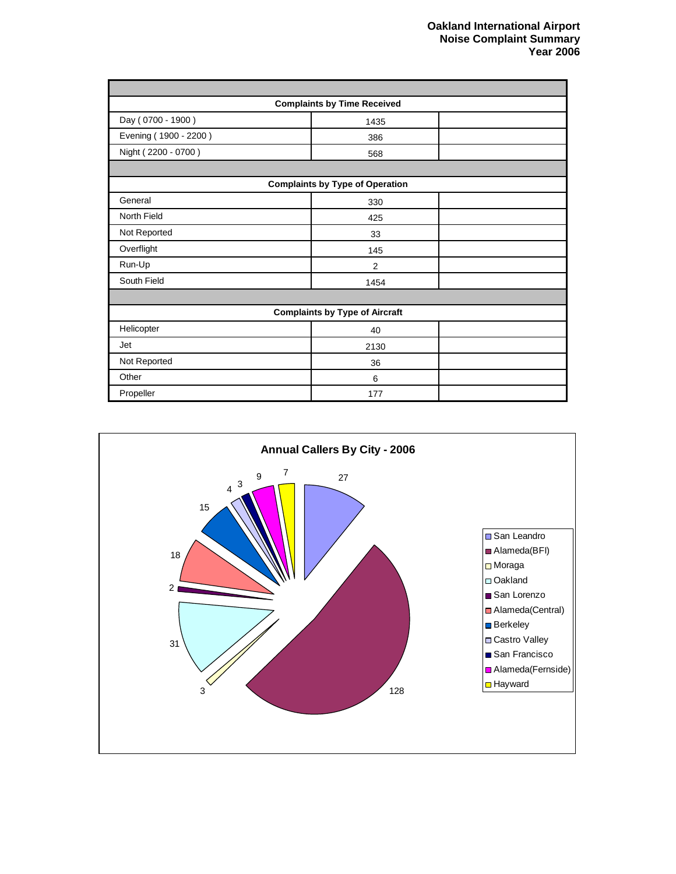| <b>Complaints by Time Received</b>     |      |  |
|----------------------------------------|------|--|
| Day (0700 - 1900)                      | 1435 |  |
| Evening (1900 - 2200)                  | 386  |  |
| Night (2200 - 0700)                    | 568  |  |
|                                        |      |  |
| <b>Complaints by Type of Operation</b> |      |  |
| General                                | 330  |  |
| North Field                            | 425  |  |
| Not Reported                           | 33   |  |
| Overflight                             | 145  |  |
| Run-Up                                 | 2    |  |
| South Field                            | 1454 |  |
|                                        |      |  |
| <b>Complaints by Type of Aircraft</b>  |      |  |
| Helicopter                             | 40   |  |
| Jet                                    | 2130 |  |
| Not Reported                           | 36   |  |
| Other                                  | 6    |  |
| Propeller                              | 177  |  |

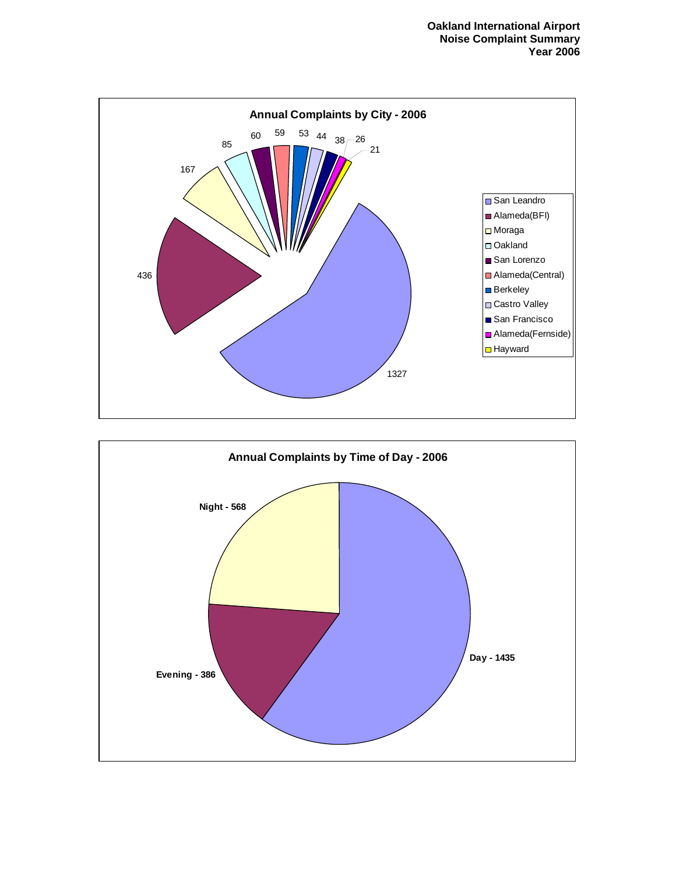